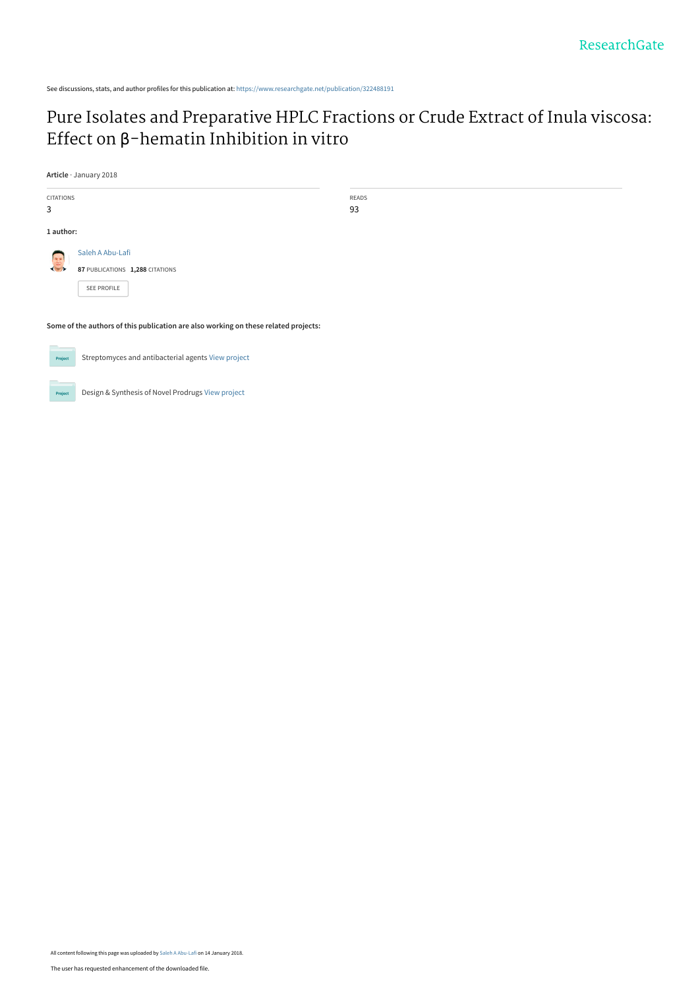See discussions, stats, and author profiles for this publication at: [https://www.researchgate.net/publication/322488191](https://www.researchgate.net/publication/322488191_Pure_Isolates_and_Preparative_HPLC_Fractions_or_Crude_Extract_of_Inula_viscosa_Effect_on_b-hematin_Inhibition_in_vitro?enrichId=rgreq-00843c7380f4ffb82068b163db21c5af-XXX&enrichSource=Y292ZXJQYWdlOzMyMjQ4ODE5MTtBUzo1ODI3MjU0MTg2NTU3NDRAMTUxNTk0Mzk3NDM2MQ%3D%3D&el=1_x_2&_esc=publicationCoverPdf)

# [Pure Isolates and Preparative HPLC Fractions or Crude Extract of Inula viscosa:](https://www.researchgate.net/publication/322488191_Pure_Isolates_and_Preparative_HPLC_Fractions_or_Crude_Extract_of_Inula_viscosa_Effect_on_b-hematin_Inhibition_in_vitro?enrichId=rgreq-00843c7380f4ffb82068b163db21c5af-XXX&enrichSource=Y292ZXJQYWdlOzMyMjQ4ODE5MTtBUzo1ODI3MjU0MTg2NTU3NDRAMTUxNTk0Mzk3NDM2MQ%3D%3D&el=1_x_3&_esc=publicationCoverPdf) Effect on β-hematin Inhibition in vitro

**Article** · January 2018

| <b>CITATIONS</b>                                                                    |                                 | READS |
|-------------------------------------------------------------------------------------|---------------------------------|-------|
| 3                                                                                   |                                 | 93    |
| 1 author:                                                                           |                                 |       |
| $\begin{pmatrix} 1 & 0 \\ 0 & 1 \end{pmatrix}$                                      | Saleh A Abu-Lafi                |       |
|                                                                                     | 87 PUBLICATIONS 1,288 CITATIONS |       |
|                                                                                     | SEE PROFILE                     |       |
|                                                                                     |                                 |       |
| Some of the authors of this publication are also working on these related projects: |                                 |       |
| <b>Contract Contract Contract Contract</b>                                          |                                 |       |

Streptomyces and antibacterial agents [View project](https://www.researchgate.net/project/Streptomyces-and-antibacterial-agents?enrichId=rgreq-00843c7380f4ffb82068b163db21c5af-XXX&enrichSource=Y292ZXJQYWdlOzMyMjQ4ODE5MTtBUzo1ODI3MjU0MTg2NTU3NDRAMTUxNTk0Mzk3NDM2MQ%3D%3D&el=1_x_9&_esc=publicationCoverPdf) Project

Design & Synthesis of Novel Prodrugs [View project](https://www.researchgate.net/project/Design-Synthesis-of-Novel-Prodrugs?enrichId=rgreq-00843c7380f4ffb82068b163db21c5af-XXX&enrichSource=Y292ZXJQYWdlOzMyMjQ4ODE5MTtBUzo1ODI3MjU0MTg2NTU3NDRAMTUxNTk0Mzk3NDM2MQ%3D%3D&el=1_x_9&_esc=publicationCoverPdf) Project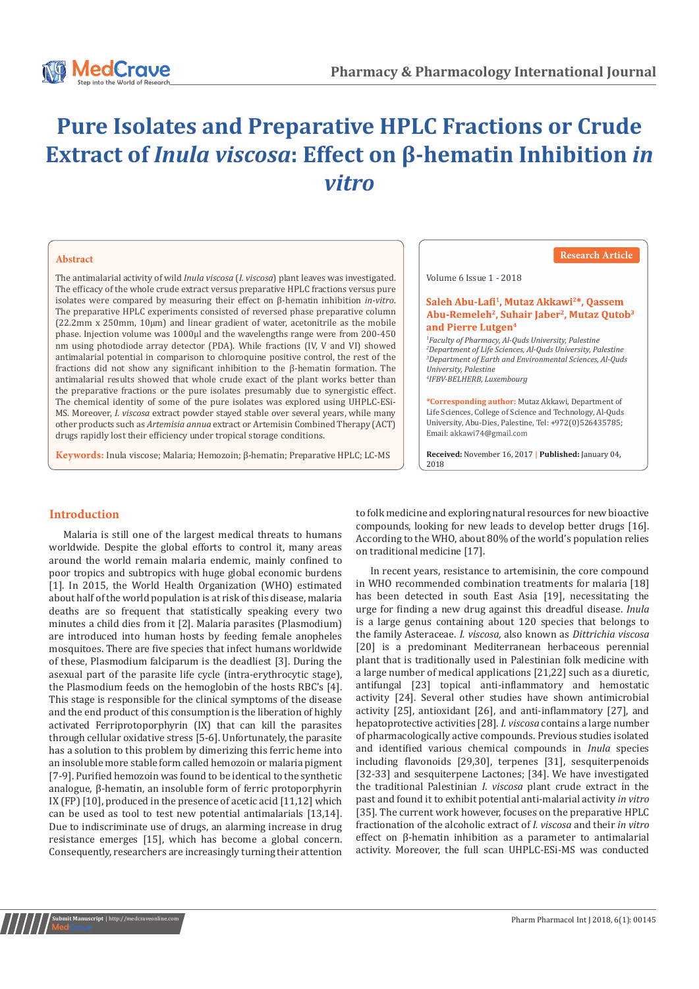

# **Pure Isolates and Preparative HPLC Fractions or Crude Extract of** *Inula viscosa***: Effect on β-hematin Inhibition** *in vitro*

#### **Abstract**

The antimalarial activity of wild *Inula viscosa* (*I. viscosa*) plant leaves was investigated. The efficacy of the whole crude extract versus preparative HPLC fractions versus pure isolates were compared by measuring their effect on β-hematin inhibition *in-vitro*. The preparative HPLC experiments consisted of reversed phase preparative column  $(22.2 \text{mm} \times 250 \text{mm}, 10 \mu \text{m})$  and linear gradient of water, acetonitrile as the mobile phase. Injection volume was 1000μl and the wavelengths range were from 200-450 nm using photodiode array detector (PDA). While fractions (IV, V and VI) showed antimalarial potential in comparison to chloroquine positive control, the rest of the fractions did not show any significant inhibition to the β-hematin formation. The antimalarial results showed that whole crude exact of the plant works better than the preparative fractions or the pure isolates presumably due to synergistic effect. The chemical identity of some of the pure isolates was explored using UHPLC-ESi-MS. Moreover, *I. viscosa* extract powder stayed stable over several years, while many other products such as *Artemisia annua* extract or Artemisin Combined Therapy (ACT) drugs rapidly lost their efficiency under tropical storage conditions.

**Keywords:** Inula viscose; Malaria; Hemozoin; β-hematin; Preparative HPLC; LC-MS

**Research Article**

Volume 6 Issue 1 - 2018

### Saleh Abu-Lafi<sup>1</sup>, Mutaz Akkawi<sup>2\*</sup>, Qassem Abu-Remeleh<sup>2</sup>, Suhair Jaber<sup>2</sup>, Mutaz Qutob<sup>3</sup> and Pierre Lutgen<sup>4</sup>

 *Faculty of Pharmacy, Al-Quds University, Palestine Department of Life Sciences, Al-Quds University, Palestine Department of Earth and Environmental Sciences, Al-Quds University, Palestine IFBV-BELHERB, Luxembourg*

**\*Corresponding author:** Mutaz Akkawi, Department of Life Sciences, College of Science and Technology, Al-Quds University, Abu-Dies, Palestine, Tel: +972(0)526435785; Email: akkawi74@gmail.com

**Received:** November 16, 2017 **| Published:** January 04, 2018

# **Introduction**

Malaria is still one of the largest medical threats to humans worldwide. Despite the global efforts to control it, many areas around the world remain malaria endemic, mainly confined to poor tropics and subtropics with huge global economic burdens [1]. In 2015, the World Health Organization (WHO) estimated about half of the world population is at risk of this disease, malaria deaths are so frequent that statistically speaking every two minutes a child dies from it [2]. Malaria parasites (Plasmodium) are introduced into human hosts by feeding female anopheles mosquitoes. There are five species that infect humans worldwide of these, Plasmodium falciparum is the deadliest [3]. During the asexual part of the parasite life cycle (intra-erythrocytic stage), the Plasmodium feeds on the hemoglobin of the hosts RBC's [4]. This stage is responsible for the clinical symptoms of the disease and the end product of this consumption is the liberation of highly activated Ferriprotoporphyrin (IX) that can kill the parasites through cellular oxidative stress [5-6]. Unfortunately, the parasite has a solution to this problem by dimerizing this ferric heme into an insoluble more stable form called hemozoin or malaria pigment [7-9]. Purified hemozoin was found to be identical to the synthetic analogue, β-hematin, an insoluble form of ferric protoporphyrin IX (FP) [10], produced in the presence of acetic acid [11,12] which can be used as tool to test new potential antimalarials [13,14]. Due to indiscriminate use of drugs, an alarming increase in drug resistance emerges [15], which has become a global concern. Consequently, researchers are increasingly turning their attention

to folk medicine and exploring natural resources for new bioactive compounds, looking for new leads to develop better drugs [16]. According to the WHO, about 80% of the world's population relies on traditional medicine [17].

In recent years, resistance to artemisinin, the core compound in WHO recommended combination treatments for malaria [18] has been detected in south East Asia [19], necessitating the urge for finding a new drug against this dreadful disease. *Inula* is a large genus containing about 120 species that belongs to the family Asteraceae. *I. viscosa,* also known as *Dittrichia viscosa* [20] is a predominant Mediterranean herbaceous perennial plant that is traditionally used in Palestinian folk medicine with a large number of medical applications [21,22] such as a diuretic, antifungal [23] topical anti-inflammatory and hemostatic activity [24]. Several other studies have shown antimicrobial activity [25], antioxidant [26], and anti-inflammatory [27], and hepatoprotective activities [28]. *I. viscosa* contains a large number of pharmacologically active compounds. Previous studies isolated and identified various chemical compounds in *Inula* species including flavonoids [29,30], terpenes [31], sesquiterpenoids [32-33] and sesquiterpene Lactones; [34]. We have investigated the traditional Palestinian *I. viscosa* plant crude extract in the past and found it to exhibit potential anti-malarial activity *in vitro*  [35]. The current work however, focuses on the preparative HPLC fractionation of the alcoholic extract of *I. viscosa* and their *in vitro* effect on β-hematin inhibition as a parameter to antimalarial activity. Moreover, the full scan UHPLC-ESi-MS was conducted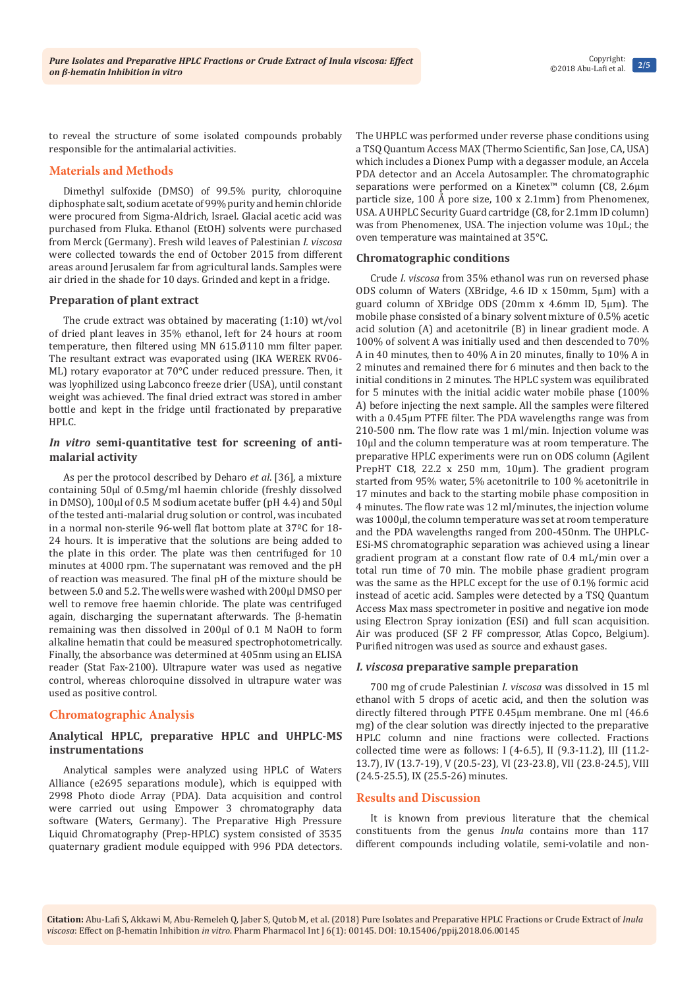to reveal the structure of some isolated compounds probably responsible for the antimalarial activities.

# **Materials and Methods**

Dimethyl sulfoxide (DMSO) of 99.5% purity, chloroquine diphosphate salt, sodium acetate of 99% purity and hemin chloride were procured from Sigma-Aldrich, Israel. Glacial acetic acid was purchased from Fluka. Ethanol (EtOH) solvents were purchased from Merck (Germany). Fresh wild leaves of Palestinian *I. viscosa*  were collected towards the end of October 2015 from different areas around Jerusalem far from agricultural lands. Samples were air dried in the shade for 10 days. Grinded and kept in a fridge.

# **Preparation of plant extract**

The crude extract was obtained by macerating (1:10) wt/vol of dried plant leaves in 35% ethanol, left for 24 hours at room temperature, then filtered using MN 615.Ø110 mm filter paper. The resultant extract was evaporated using (IKA WEREK RV06- ML) rotary evaporator at 70°C under reduced pressure. Then, it was lyophilized using Labconco freeze drier (USA), until constant weight was achieved. The final dried extract was stored in amber bottle and kept in the fridge until fractionated by preparative HPLC.

# *In vitro* **semi-quantitative test for screening of antimalarial activity**

As per the protocol described by Deharo *et al*. [36], a mixture containing 50μl of 0.5mg/ml haemin chloride (freshly dissolved in DMSO), 100μl of 0.5 M sodium acetate buffer (pH 4.4) and 50μl of the tested anti-malarial drug solution or control, was incubated in a normal non-sterile 96-well flat bottom plate at 37ºC for 18- 24 hours. It is imperative that the solutions are being added to the plate in this order. The plate was then centrifuged for 10 minutes at 4000 rpm. The supernatant was removed and the pH of reaction was measured. The final pH of the mixture should be between 5.0 and 5.2. The wells were washed with 200μl DMSO per well to remove free haemin chloride. The plate was centrifuged again, discharging the supernatant afterwards. The β-hematin remaining was then dissolved in 200μl of 0.1 M NaOH to form alkaline hematin that could be measured spectrophotometrically. Finally, the absorbance was determined at 405nm using an ELISA reader (Stat Fax-2100). Ultrapure water was used as negative control, whereas chloroquine dissolved in ultrapure water was used as positive control.

# **Chromatographic Analysis**

# **Analytical HPLC, preparative HPLC and UHPLC-MS instrumentations**

Analytical samples were analyzed using HPLC of Waters Alliance (e2695 separations module), which is equipped with 2998 Photo diode Array (PDA). Data acquisition and control were carried out using Empower 3 chromatography data software (Waters, Germany). The Preparative High Pressure Liquid Chromatography (Prep-HPLC) system consisted of 3535 quaternary gradient module equipped with 996 PDA detectors.

The UHPLC was performed under reverse phase conditions using a TSQ Quantum Access MAX (Thermo Scientific, San Jose, CA, USA) which includes a Dionex Pump with a degasser module, an Accela PDA detector and an Accela Autosampler. The chromatographic separations were performed on a Kinetex™ column (C8, 2.6µm particle size, 100 Å pore size, 100 x 2.1mm) from Phenomenex, USA. A UHPLC Security Guard cartridge (C8, for 2.1mm ID column) was from Phenomenex, USA. The injection volume was 10μL; the oven temperature was maintained at 35°C.

# **Chromatographic conditions**

Crude *I. viscosa* from 35% ethanol was run on reversed phase ODS column of Waters (XBridge, 4.6 ID x 150mm, 5μm) with a guard column of XBridge ODS (20mm x 4.6mm ID, 5μm). The mobile phase consisted of a binary solvent mixture of 0.5% acetic acid solution (A) and acetonitrile (B) in linear gradient mode. A 100% of solvent A was initially used and then descended to 70% A in 40 minutes, then to 40% A in 20 minutes, finally to 10% A in 2 minutes and remained there for 6 minutes and then back to the initial conditions in 2 minutes. The HPLC system was equilibrated for 5 minutes with the initial acidic water mobile phase (100% A) before injecting the next sample. All the samples were filtered with a 0.45μm PTFE filter. The PDA wavelengths range was from 210-500 nm. The flow rate was 1 ml/min. Injection volume was 10μl and the column temperature was at room temperature. The preparative HPLC experiments were run on ODS column (Agilent PrepHT C18, 22.2 x 250 mm, 10μm). The gradient program started from 95% water, 5% acetonitrile to 100 % acetonitrile in 17 minutes and back to the starting mobile phase composition in 4 minutes. The flow rate was 12 ml/minutes, the injection volume was 1000μl, the column temperature was set at room temperature and the PDA wavelengths ranged from 200-450nm. The UHPLC-ESi-MS chromatographic separation was achieved using a linear gradient program at a constant flow rate of 0.4 mL/min over a total run time of 70 min. The mobile phase gradient program was the same as the HPLC except for the use of 0.1% formic acid instead of acetic acid. Samples were detected by a TSQ Quantum Access Max mass spectrometer in positive and negative ion mode using Electron Spray ionization (ESi) and full scan acquisition. Air was produced (SF 2 FF compressor, Atlas Copco, Belgium). Purified nitrogen was used as source and exhaust gases.

#### *I. viscosa* **preparative sample preparation**

700 mg of crude Palestinian *I. viscosa* was dissolved in 15 ml ethanol with 5 drops of acetic acid, and then the solution was directly filtered through PTFE 0.45μm membrane. One ml (46.6 mg) of the clear solution was directly injected to the preparative HPLC column and nine fractions were collected. Fractions collected time were as follows: I (4-6.5), II (9.3-11.2), III (11.2- 13.7), IV (13.7-19), V (20.5-23), VI (23-23.8), VII (23.8-24.5), VIII (24.5-25.5), IX (25.5-26) minutes.

#### **Results and Discussion**

It is known from previous literature that the chemical constituents from the genus *Inula* contains more than 117 different compounds including volatile, semi-volatile and non-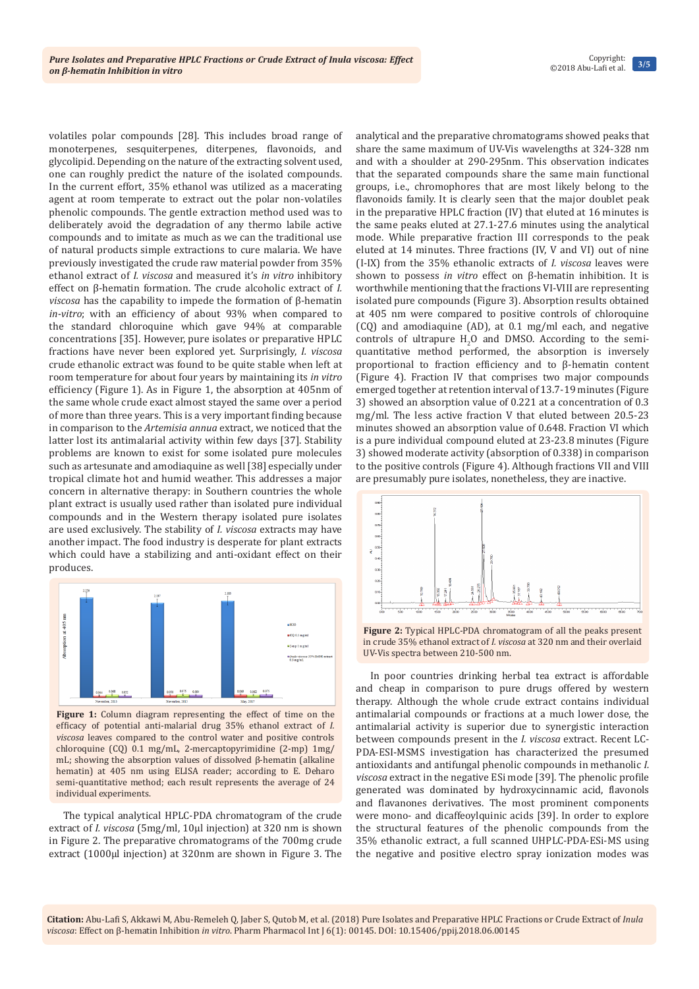volatiles polar compounds [28]. This includes broad range of monoterpenes, sesquiterpenes, diterpenes, flavonoids, and glycolipid. Depending on the nature of the extracting solvent used, one can roughly predict the nature of the isolated compounds. In the current effort, 35% ethanol was utilized as a macerating agent at room temperate to extract out the polar non-volatiles phenolic compounds. The gentle extraction method used was to deliberately avoid the degradation of any thermo labile active compounds and to imitate as much as we can the traditional use of natural products simple extractions to cure malaria. We have previously investigated the crude raw material powder from 35% ethanol extract of *I. viscosa* and measured it's *in vitro* inhibitory effect on β-hematin formation. The crude alcoholic extract of *I. viscosa* has the capability to impede the formation of β-hematin *in-vitro*; with an efficiency of about 93% when compared to the standard chloroquine which gave 94% at comparable concentrations [35]. However, pure isolates or preparative HPLC fractions have never been explored yet. Surprisingly, *I. viscosa*  crude ethanolic extract was found to be quite stable when left at room temperature for about four years by maintaining its *in vitro*  efficiency (Figure 1). As in Figure 1, the absorption at 405nm of the same whole crude exact almost stayed the same over a period of more than three years. This is a very important finding because in comparison to the *Artemisia annua* extract, we noticed that the latter lost its antimalarial activity within few days [37]. Stability problems are known to exist for some isolated pure molecules such as artesunate and amodiaquine as well [38] especially under tropical climate hot and humid weather. This addresses a major concern in alternative therapy: in Southern countries the whole plant extract is usually used rather than isolated pure individual compounds and in the Western therapy isolated pure isolates are used exclusively. The stability of *I. viscosa* extracts may have another impact. The food industry is desperate for plant extracts which could have a stabilizing and anti-oxidant effect on their produces.



**Figure 1:** Column diagram representing the effect of time on the efficacy of potential anti-malarial drug 35% ethanol extract of *I. viscosa* leaves compared to the control water and positive controls chloroquine (CQ) 0.1 mg/mL, 2-mercaptopyrimidine (2-mp) 1mg/ mL; showing the absorption values of dissolved β-hematin (alkaline hematin) at 405 nm using ELISA reader; according to E. Deharo semi-quantitative method; each result represents the average of 24 individual experiments.

The typical analytical HPLC-PDA chromatogram of the crude extract of *I. viscosa* (5mg/ml, 10μl injection) at 320 nm is shown in Figure 2. The preparative chromatograms of the 700mg crude extract (1000μl injection) at 320nm are shown in Figure 3. The analytical and the preparative chromatograms showed peaks that share the same maximum of UV-Vis wavelengths at 324-328 nm and with a shoulder at 290-295nm. This observation indicates that the separated compounds share the same main functional groups, i.e., chromophores that are most likely belong to the flavonoids family. It is clearly seen that the major doublet peak in the preparative HPLC fraction (IV) that eluted at 16 minutes is the same peaks eluted at 27.1-27.6 minutes using the analytical mode. While preparative fraction III corresponds to the peak eluted at 14 minutes. Three fractions (IV, V and VI) out of nine (I-IX) from the 35% ethanolic extracts of *I. viscosa* leaves were shown to possess *in vitro* effect on β-hematin inhibition. It is worthwhile mentioning that the fractions VI-VIII are representing isolated pure compounds (Figure 3). Absorption results obtained at 405 nm were compared to positive controls of chloroquine (CQ) and amodiaquine (AD), at 0.1 mg/ml each, and negative controls of ultrapure  $H_2O$  and DMSO. According to the semiquantitative method performed, the absorption is inversely proportional to fraction efficiency and to β-hematin content (Figure 4). Fraction IV that comprises two major compounds emerged together at retention interval of 13.7-19 minutes (Figure 3) showed an absorption value of 0.221 at a concentration of 0.3 mg/ml. The less active fraction V that eluted between 20.5-23 minutes showed an absorption value of 0.648. Fraction VI which is a pure individual compound eluted at 23-23.8 minutes (Figure 3) showed moderate activity (absorption of 0.338) in comparison to the positive controls (Figure 4). Although fractions VII and VIII are presumably pure isolates, nonetheless, they are inactive.



**Figure 2:** Typical HPLC-PDA chromatogram of all the peaks present in crude 35% ethanol extract of *I. viscosa* at 320 nm and their overlaid UV-Vis spectra between 210-500 nm.

In poor countries drinking herbal tea extract is affordable and cheap in comparison to pure drugs offered by western therapy. Although the whole crude extract contains individual antimalarial compounds or fractions at a much lower dose, the antimalarial activity is superior due to synergistic interaction between compounds present in the *I. viscosa* extract. Recent LC-PDA-ESI-MSMS investigation has characterized the presumed antioxidants and antifungal phenolic compounds in methanolic *I. viscosa* extract in the negative ESi mode [39]. The phenolic profile generated was dominated by hydroxycinnamic acid, flavonols and flavanones derivatives. The most prominent components were mono- and dicaffeoylquinic acids [39]. In order to explore the structural features of the phenolic compounds from the 35% ethanolic extract, a full scanned UHPLC-PDA-ESi-MS using the negative and positive electro spray ionization modes was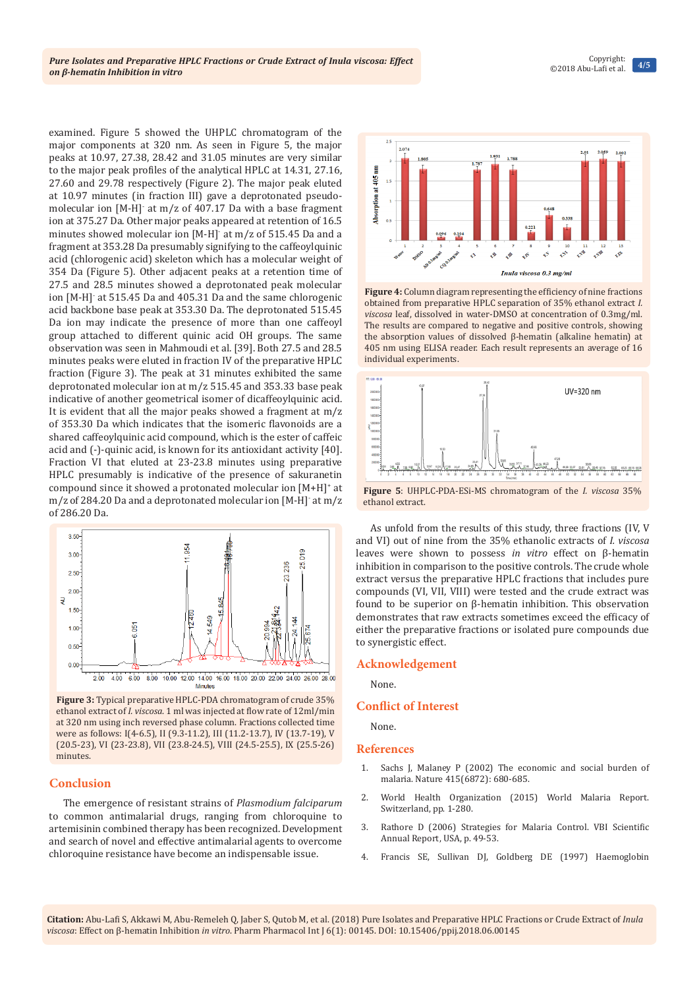examined. Figure 5 showed the UHPLC chromatogram of the major components at 320 nm. As seen in Figure 5, the major peaks at 10.97, 27.38, 28.42 and 31.05 minutes are very similar to the major peak profiles of the analytical HPLC at 14.31, 27.16, 27.60 and 29.78 respectively (Figure 2). The major peak eluted at 10.97 minutes (in fraction III) gave a deprotonated pseudomolecular ion [M-H]- at m/z of 407.17 Da with a base fragment ion at 375.27 Da. Other major peaks appeared at retention of 16.5 minutes showed molecular ion [M-H]- at m/z of 515.45 Da and a fragment at 353.28 Da presumably signifying to the caffeoylquinic acid (chlorogenic acid) skeleton which has a molecular weight of 354 Da (Figure 5). Other adjacent peaks at a retention time of 27.5 and 28.5 minutes showed a deprotonated peak molecular ion [M-H]- at 515.45 Da and 405.31 Da and the same chlorogenic acid backbone base peak at 353.30 Da. The deprotonated 515.45 Da ion may indicate the presence of more than one caffeoyl group attached to different quinic acid OH groups. The same observation was seen in Mahmoudi et al. [39]. Both 27.5 and 28.5 minutes peaks were eluted in fraction IV of the preparative HPLC fraction (Figure 3). The peak at 31 minutes exhibited the same deprotonated molecular ion at m/z 515.45 and 353.33 base peak indicative of another geometrical isomer of dicaffeoylquinic acid. It is evident that all the major peaks showed a fragment at m/z of 353.30 Da which indicates that the isomeric flavonoids are a shared caffeoylquinic acid compound, which is the ester of caffeic acid and (-)-quinic acid, is known for its antioxidant activity [40]. Fraction VI that eluted at 23-23.8 minutes using preparative HPLC presumably is indicative of the presence of sakuranetin compound since it showed a protonated molecular ion [M+H]<sup>+</sup> at m/z of 284.20 Da and a deprotonated molecular ion [M-H]- at m/z of 286.20 Da.



**Figure 3:** Typical preparative HPLC-PDA chromatogram of crude 35% ethanol extract of *I. viscosa*. 1 ml was injected at flow rate of 12ml/min at 320 nm using inch reversed phase column. Fractions collected time were as follows: I(4-6.5), II (9.3-11.2), III (11.2-13.7), IV (13.7-19), V (20.5-23), VI (23-23.8), VII (23.8-24.5), VIII (24.5-25.5), IX (25.5-26) minutes.

#### **Conclusion**

The emergence of resistant strains of *Plasmodium falciparum*  to common antimalarial drugs, ranging from chloroquine to artemisinin combined therapy has been recognized. Development and search of novel and effective antimalarial agents to overcome chloroquine resistance have become an indispensable issue.



**Figure 4:** Column diagram representing the efficiency of nine fractions obtained from preparative HPLC separation of 35% ethanol extract *I. viscosa* leaf, dissolved in water-DMSO at concentration of 0.3mg/ml. The results are compared to negative and positive controls, showing the absorption values of dissolved β-hematin (alkaline hematin) at 405 nm using ELISA reader. Each result represents an average of 16 individual experiments.



**Figure 5**: UHPLC-PDA-ESi-MS chromatogram of the *I. viscosa* 35% ethanol extract.

As unfold from the results of this study, three fractions (IV, V and VI) out of nine from the 35% ethanolic extracts of *I. viscosa* leaves were shown to possess *in vitro* effect on β-hematin inhibition in comparison to the positive controls. The crude whole extract versus the preparative HPLC fractions that includes pure compounds (VI, VII, VIII) were tested and the crude extract was found to be superior on β-hematin inhibition. This observation demonstrates that raw extracts sometimes exceed the efficacy of either the preparative fractions or isolated pure compounds due to synergistic effect.

#### **Acknowledgement**

None.

#### **Conflict of Interest**

None.

#### **References**

- 1. [Sachs J, Malaney P \(2002\) The economic and social burden of](https://www.ncbi.nlm.nih.gov/pubmed/11832956)  [malaria. Nature 415\(6872\): 680-685.](https://www.ncbi.nlm.nih.gov/pubmed/11832956)
- 2. [World Health Organization \(2015\) World Malaria Report.](http://www.who.int/malaria/publications/world-malaria-report-2015/report/en/)  [Switzerland, pp. 1-280.](http://www.who.int/malaria/publications/world-malaria-report-2015/report/en/)
- 3. [Rathore D \(2006\) Strategies for Malaria Control. VBI Scientific](https://s3.amazonaws.com/academia.edu.documents/30611020/annual_report_2005-2006_science.pdf?AWSAccessKeyId=AKIAIWOWYYGZ2Y53UL3A&Expires=1514970608&Signature=mc%2BzmIQHVf%2BLtHLmDJiL62JzNNs%3D&response-content-disposition=inline%3B%20filename%3DSoftware_mo)  [Annual Report, USA, p. 49-53.](https://s3.amazonaws.com/academia.edu.documents/30611020/annual_report_2005-2006_science.pdf?AWSAccessKeyId=AKIAIWOWYYGZ2Y53UL3A&Expires=1514970608&Signature=mc%2BzmIQHVf%2BLtHLmDJiL62JzNNs%3D&response-content-disposition=inline%3B%20filename%3DSoftware_mo)
- 4. [Francis SE, Sullivan DJ, Goldberg DE \(1997\) Haemoglobin](https://www.ncbi.nlm.nih.gov/pubmed/9343345)